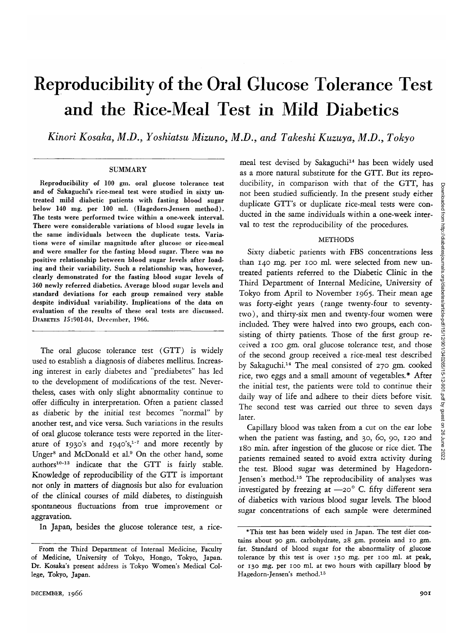# Reproducibility of the Oral Glucose Tolerance Test and the Rice-Meal Test in Mild Diabetics

*Kinori Kosaka, M.D., Yoshiatsu Mizuno, M.D., and Takeshi Kuzuya, M.D., Tokyo*

### **SUMMARY**

Reproducibility of 100 gm. oral glucose tolerance test and of Sakaguchi's rice-meal test were studied in sixty untreated mild diabetic patients with fasting blood sugar below 140 mg. per 100 ml. (Hagedorn-Jensen method). The tests were performed twice within a one-week interval. There were considerable variations of blood sugar levels in the same individuals between the duplicate tests. Variations were of similar magnitude after glucose or rice-meal and were smaller for the fasting blood sugar. There was no positive relationship between blood sugar levels after loading and their variability. Such a relationship was, however, clearly demonstrated for the fasting blood sugar levels of 360 newly referred diabetics. Average blood sugar levels and standard deviations for each group remained very stable despite individual variability. Implications of the data on evaluation of the results of these oral tests are discussed. DIABETES *15*:901-04, December, 1966.

The oral glucose tolerance test (GTT) is widely used to establish a diagnosis of diabetes mellitus. Increasing interest in early diabetes and "prediabetes" has led to the development of modifications of the test. Nevertheless, cases with only slight abnormality continue to offer difficulty in interpretation. Often a patient classed as diabetic by the initial test becomes "normal" by another test, and vice versa. Such variations in the results of oral glucose tolerance tests were reported in the literature of  $1930$ 's and  $1940$ 's,<sup>1-7</sup> and more recently by Unger<sup>8</sup> and McDonald et al.<sup>9</sup> On the other hand, some authors<sup>10-13</sup> indicate that the GTT is fairly stable. Knowledge of reproducibility of the GTT is important not only in matters of diagnosis but also for evaluation of the clinical courses of mild diabetes, to distinguish spontaneous fluctuations from true improvement or aggravation.

In Japan, besides the glucose tolerance test, a rice-

meal test devised by Sakaguchi<sup>14</sup> has been widely used as a more natural substitute for the GTT. But its reproducibility, in comparison with that of the GTT, has not been studied sufficiently. In the present study either duplicate GTT's or duplicate rice-meal tests were conducted in the same individuals within a one-week interval to test the reproducibility of the procedures.

### METHODS

Sixty diabetic patients with FBS concentrations less than 140 *mg.* per 100 ml. were selected from new untreated patients referred to the Diabetic Clinic in the Third Department of Internal Medicine, University of Tokyo from April to November 1965. Their mean age was forty-eight years (range twenty-four to seventytwo), and thirty-six men and twenty-four women were included. They were halved into two groups, each consisting of thirty patients. Those of the first group received a 100 gm. oral glucose tolerance test, and those of the second group received a rice-meal test described by Sakaguchi.<sup>14</sup> The meal consisted of 270 gm. cooked rice, two eggs and a small amount of vegetables.\* After the initial test, the patients were told to continue their daily way of life and adhere to their diets before visit. The second test was carried out three to seven days later.

Capillary blood was taken from a cut on the ear lobe when the patient was fasting, and 30, 60, 90, 120 and 180 min. after ingestion of the glucose or rice diet. The patients remained seated to avoid extra activity during the test. Blood sugar was determined by Hagedorn-Jensen's method.<sup>15</sup> The reproducibility of analyses was investigated by freezing at  $-20^\circ$  C. fifty different sera of diabetics with various blood sugar levels. The blood sugar concentrations of each sample were determined

From the Third Department of Internal Medicine, Faculty of Medicine, University of Tokyo, Hongo, Tokyo, Japan. Dr. Kosaka's present address is Tokyo Women's Medical College, Tokyo, Japan.

<sup>\*</sup>This test has been widely used in Japan. The test diet contains about 90 gm. carbohydrate, 28 gm. protein and 10 gm. fat. Standard of blood sugar for the abnormality of glucose tolerance by this test is over 150 mg. per 100 ml. at peak, or 130 mg. per 100 ml. at two hours with capillary blood by Hagedorn-Jensen's method.15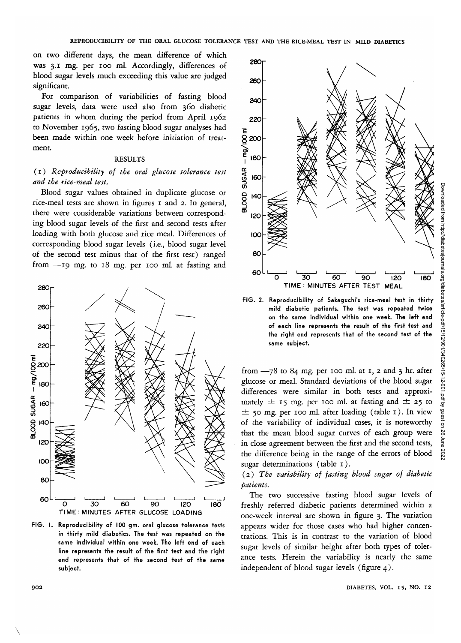on two different days, the mean difference of which was 3.1 mg. per 100 ml. Accordingly, differences of blood sugar levels much exceeding this value are judged significant.

For comparison of variabilities of fasting blood sugar levels, data were used also from 360 diabetic patients in whom during the period from April 1962 to November 1965, two fasting blood sugar analyses had been made within one week before initiation of treatment.

## RESULTS

# (1) *Reproducibility of the oral glucose tolerance test and the rice-meal test.*

Blood sugar values obtained in duplicate glucose or rice-meal tests are shown in figures 1 and 2. In general, there were considerable variations between corresponding blood sugar levels of the first and second tests after loading with both glucose and rice meal. Differences of corresponding blood sugar levels (i.e., blood sugar level of the second test minus that of the first test) ranged from —19 mg. to 18 mg. per 100 ml. at fasting and



PIG. I. Reproducibility of 100 gm. oral glucose tolerance tests in thirty mild diabetics. The test was repeated on the same individual within one week. The left end of each line represents the result of the first test and the right end represents that of the second test of the same subject.



FIG. 2. Reproducibility of Sakaguchi's rice-meal test in thirty mild diabetic patients. The test was repeated twice on the same individual within one week. The left end of each line represents the result of the first test and the right end represents that of the second test of the same subject.

from  $-78$  to 84 mg. per 100 ml. at 1, 2 and 3 hr. after glucose or meal. Standard deviations of the blood sugar differences were similar in both tests and approximately  $\pm$  15 mg. per 100 ml. at fasting and  $\pm$  25 to  $\pm$  50 mg. per 100 ml. after loading (table 1). In view of the variability of individual cases, it is noteworthy that the mean blood sugar curves of each group were in close agreement between the first and the second tests, the difference being in the range of the errors of blood sugar determinations (table 1).

# (2) *The variability of fasting blood sugar of diabetic patients.*

The two successive fasting blood sugar levels of freshly referred diabetic patients determined within a one-week interval are shown in figure 3. The variation appears wider for those cases who had higher concentrations. This is in contrast to the variation of blood sugar levels of similar height after both types of tolerance tests. Herein the variability is nearly the same independent of blood sugar levels (figure 4).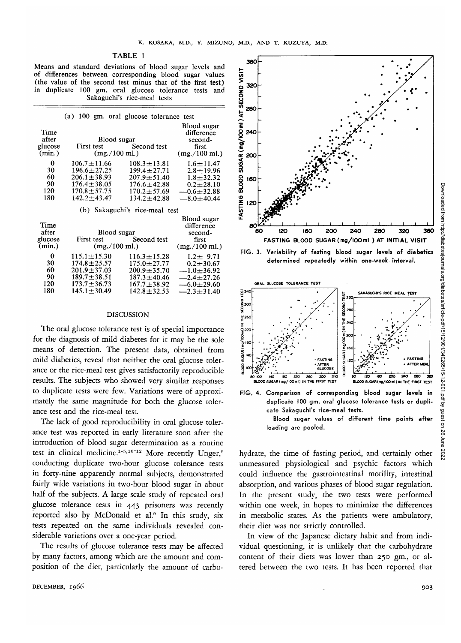## TABLE 1

Means and standard deviations of blood sugar levels and of differences between corresponding blood sugar values (the value of the second test minus that of the first test)<br>in duplicate 100 gm, oral glucose tolerance tests and duplicate 100 gm. oral glucose tolerance tests Sakaguchi's rice-meal tests

|                                    | (a) 100 gm. oral glucose tolerance test  |                        |                                                                            |
|------------------------------------|------------------------------------------|------------------------|----------------------------------------------------------------------------|
| Time<br>after<br>glucose<br>(min.) | Blood sugar<br>$(mg. / 100 \text{ m}$ .) | First test Second test | Blood sugar<br>difference<br>second-<br>first<br>$(mg. / 100 \text{ ml.})$ |
| 0                                  | $106.7 + 11.66$                          | $108.3 + 13.81$        | $1.6 + 11.47$                                                              |
| 30                                 | $196.6 + 27.25$                          | $199.4 \pm 27.71$      | $2.8 + 19.96$                                                              |
| 60                                 | $206.1 \pm 38.93$                        | $207.9 + 51.40$        | $1.8 + 32.32$                                                              |
| 90                                 | $176.4 \pm 38.05$                        | $176.6 + 42.88$        | $0.2 + 28.10$                                                              |
| 120                                | $170.8 \pm 57.75$                        | $170.2 + 57.69$        | $-0.6 \pm 32.88$                                                           |
| 180                                | $142.2 + 43.47$                          | $134.2 + 42.88$        | $-8.0 + 40.44$                                                             |

(b) Sakaguchi's rice-meal test

|         |                   |                           | Blood sugar      |
|---------|-------------------|---------------------------|------------------|
| Time    |                   |                           | difference       |
| after   | Blood sugar       |                           | second-          |
| glucose |                   | First test Second test    | first            |
| (min.)  |                   | $(mg. / 100 \text{ ml.})$ |                  |
| 0       | $115.1 + 15.30$   | $116.3 + 15.28$           | $1.2 + 9.71$     |
| 30      | $174.8 + 25.57$   | $175.0 + 27.77$           | $0.2 + 30.67$    |
| 60      | $201.9 + 37.03$   | $200.9 + 35.70$           | $-1.0+36.92$     |
| 90      | $189.7 \pm 38.51$ | $187.3 + 40.46$           | $-2.4 \pm 27.26$ |
| 120     | $173.7 \pm 36.73$ | $167.7 + 38.92$           | $-6.0 \pm 29.60$ |
| 180     | $145.1 \pm 30.49$ | $142.8 \pm 32.53$         | $-2.3 + 31.40$   |
|         |                   |                           |                  |

#### DISCUSSION

The oral glucose tolerance test is of special importance for the diagnosis of mild diabetes for it may be the sole means of detection. The present data, obtained from mild diabetics, reveal that neither the oral glucose tolerance or the rice-meal test gives satisfactorily reproducible results. The subjects who showed very similar responses to duplicate tests were few. Variations were of approximately the same magnitude for both the glucose tolerance test and the rice-meal test.

The lack of good reproducibility in oral glucose tolerance test was reported in early literature soon after the introduction of blood sugar determination as a routine test in clinical medicine.<sup>1-5,10-12</sup> More recently Unger,<sup>8</sup> conducting duplicate two-hour glucose tolerance tests in forty-nine apparently normal subjects, demonstrated fairly wide variations in two-hour blood sugar in about half of the subjects. A large scale study of repeated oral glucose tolerance tests in 443 prisoners was recently reported also by McDonald et al.<sup>9</sup> In this study, six tests repeated on the same individuals revealed considerable variations over a one-year period.

The results of glucose tolerance tests may be affected by many factors, among which are the amount and composition of the diet, particularly the amount of carbo-



determined repeatedly within one-week interval.



duplicate 100 gm. oral glucose tolerance tests or duplicate Sakaguchi's rice-meal tests. Blood sugar values of different time points after loading are pooled.

hydrate, the time of fasting period, and certainly other unmeasured physiological and psychic factors which could influence the gastrointestinal motility, intestinal absorption, and various phases of blood sugar regulation. In the present study, the two tests were performed within one week, in hopes to minimize the differences in metabolic states. As the patients were ambulatory, their diet was not strictly controlled.

In view of the Japanese dietary habit and from individual questioning, it is unlikely that the carbohydrate content of their diets was lower than 250 gm., or altered between the two tests. It has been reported that